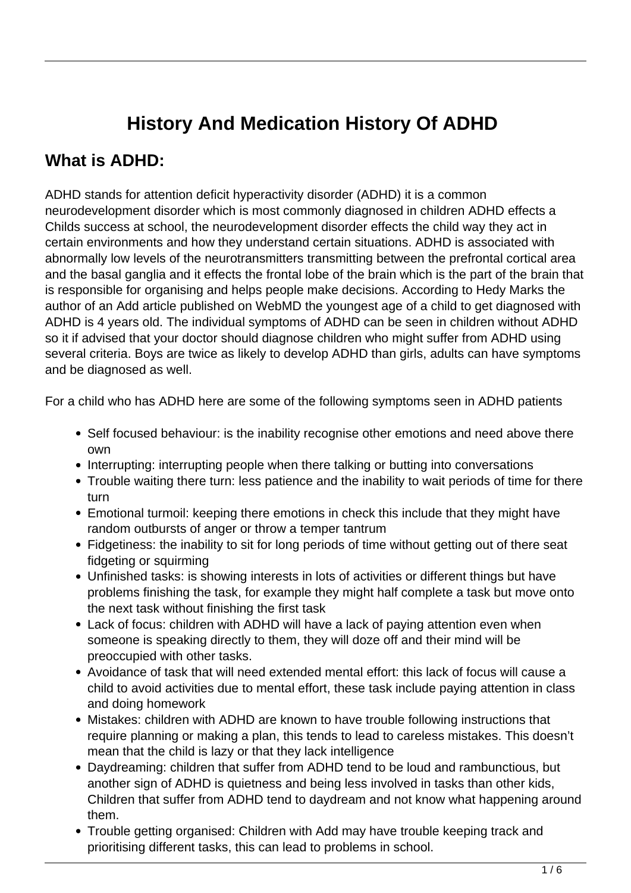## **History And Medication History Of ADHD**

## **What is ADHD:**

ADHD stands for attention deficit hyperactivity disorder (ADHD) it is a common neurodevelopment disorder which is most commonly diagnosed in children ADHD effects a Childs success at school, the neurodevelopment disorder effects the child way they act in certain environments and how they understand certain situations. ADHD is associated with abnormally low levels of the neurotransmitters transmitting between the prefrontal cortical area and the basal ganglia and it effects the frontal lobe of the brain which is the part of the brain that is responsible for organising and helps people make decisions. According to Hedy Marks the author of an Add article published on WebMD the youngest age of a child to get diagnosed with ADHD is 4 years old. The individual symptoms of ADHD can be seen in children without ADHD so it if advised that your doctor should diagnose children who might suffer from ADHD using several criteria. Boys are twice as likely to develop ADHD than girls, adults can have symptoms and be diagnosed as well.

For a child who has ADHD here are some of the following symptoms seen in ADHD patients

- Self focused behaviour: is the inability recognise other emotions and need above there own
- Interrupting: interrupting people when there talking or butting into conversations
- Trouble waiting there turn: less patience and the inability to wait periods of time for there turn
- Emotional turmoil: keeping there emotions in check this include that they might have random outbursts of anger or throw a temper tantrum
- Fidgetiness: the inability to sit for long periods of time without getting out of there seat fidgeting or squirming
- Unfinished tasks: is showing interests in lots of activities or different things but have problems finishing the task, for example they might half complete a task but move onto the next task without finishing the first task
- Lack of focus: children with ADHD will have a lack of paying attention even when someone is speaking directly to them, they will doze off and their mind will be preoccupied with other tasks.
- Avoidance of task that will need extended mental effort: this lack of focus will cause a child to avoid activities due to mental effort, these task include paying attention in class and doing homework
- Mistakes: children with ADHD are known to have trouble following instructions that require planning or making a plan, this tends to lead to careless mistakes. This doesn't mean that the child is lazy or that they lack intelligence
- Daydreaming: children that suffer from ADHD tend to be loud and rambunctious, but another sign of ADHD is quietness and being less involved in tasks than other kids, Children that suffer from ADHD tend to daydream and not know what happening around them.
- Trouble getting organised: Children with Add may have trouble keeping track and prioritising different tasks, this can lead to problems in school.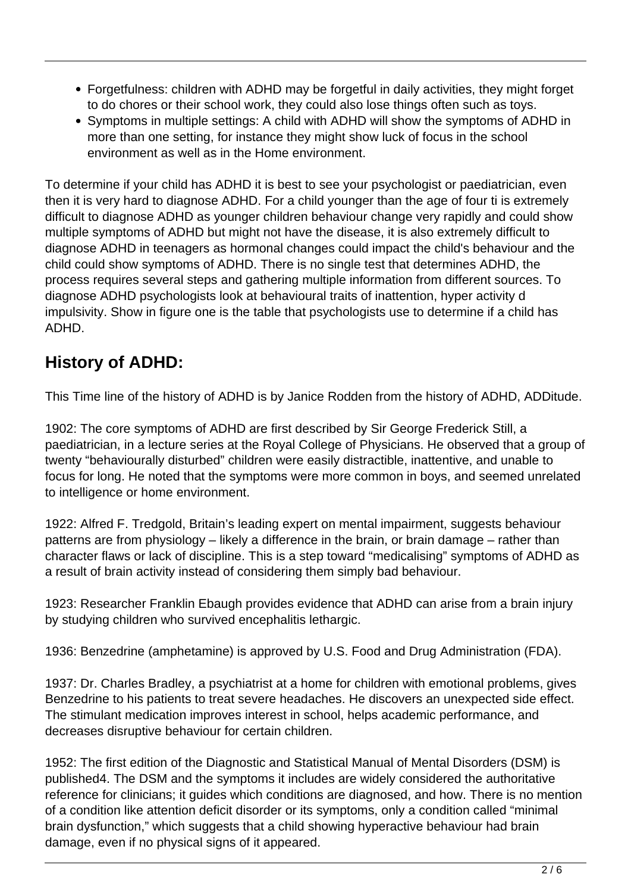- Forgetfulness: children with ADHD may be forgetful in daily activities, they might forget to do chores or their school work, they could also lose things often such as toys.
- Symptoms in multiple settings: A child with ADHD will show the symptoms of ADHD in more than one setting, for instance they might show luck of focus in the school environment as well as in the Home environment.

To determine if your child has ADHD it is best to see your psychologist or paediatrician, even then it is very hard to diagnose ADHD. For a child younger than the age of four ti is extremely difficult to diagnose ADHD as younger children behaviour change very rapidly and could show multiple symptoms of ADHD but might not have the disease, it is also extremely difficult to diagnose ADHD in teenagers as hormonal changes could impact the child's behaviour and the child could show symptoms of ADHD. There is no single test that determines ADHD, the process requires several steps and gathering multiple information from different sources. To diagnose ADHD psychologists look at behavioural traits of inattention, hyper activity d impulsivity. Show in figure one is the table that psychologists use to determine if a child has ADHD.

## **History of ADHD:**

This Time line of the history of ADHD is by Janice Rodden from the history of ADHD, ADDitude.

1902: The core symptoms of ADHD are first described by Sir George Frederick Still, a paediatrician, in a lecture series at the Royal College of Physicians. He observed that a group of twenty "behaviourally disturbed" children were easily distractible, inattentive, and unable to focus for long. He noted that the symptoms were more common in boys, and seemed unrelated to intelligence or home environment.

1922: Alfred F. Tredgold, Britain's leading expert on mental impairment, suggests behaviour patterns are from physiology – likely a difference in the brain, or brain damage – rather than character flaws or lack of discipline. This is a step toward "medicalising" symptoms of ADHD as a result of brain activity instead of considering them simply bad behaviour.

1923: Researcher Franklin Ebaugh provides evidence that ADHD can arise from a brain injury by studying children who survived encephalitis lethargic.

1936: Benzedrine (amphetamine) is approved by U.S. Food and Drug Administration (FDA).

1937: Dr. Charles Bradley, a psychiatrist at a home for children with emotional problems, gives Benzedrine to his patients to treat severe headaches. He discovers an unexpected side effect. The stimulant medication improves interest in school, helps academic performance, and decreases disruptive behaviour for certain children.

1952: The first edition of the Diagnostic and Statistical Manual of Mental Disorders (DSM) is published4. The DSM and the symptoms it includes are widely considered the authoritative reference for clinicians; it guides which conditions are diagnosed, and how. There is no mention of a condition like attention deficit disorder or its symptoms, only a condition called "minimal brain dysfunction," which suggests that a child showing hyperactive behaviour had brain damage, even if no physical signs of it appeared.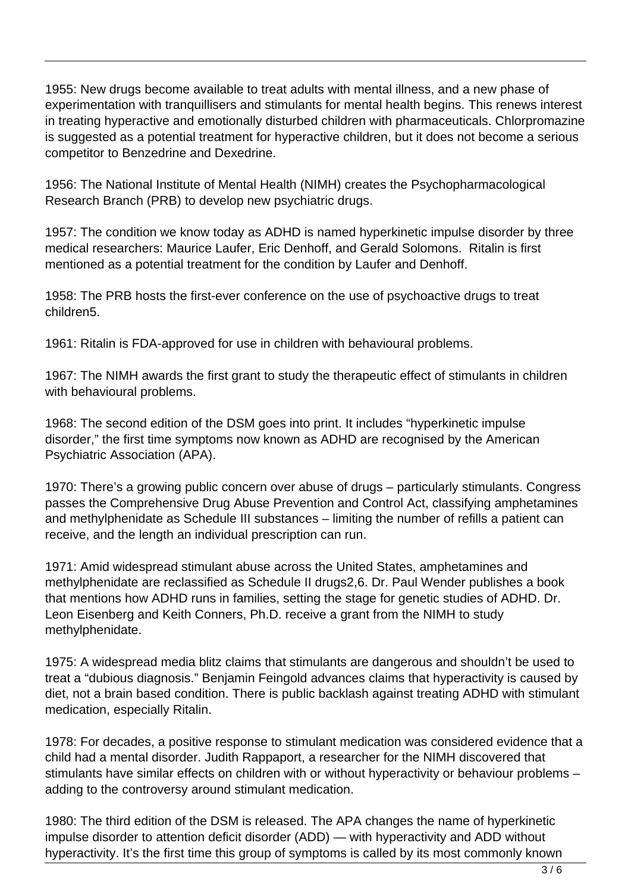1955: New drugs become available to treat adults with mental illness, and a new phase of experimentation with tranquillisers and stimulants for mental health begins. This renews interest in treating hyperactive and emotionally disturbed children with pharmaceuticals. Chlorpromazine is suggested as a potential treatment for hyperactive children, but it does not become a serious competitor to Benzedrine and Dexedrine.

1956: The National Institute of Mental Health (NIMH) creates the Psychopharmacological Research Branch (PRB) to develop new psychiatric drugs.

1957: The condition we know today as ADHD is named hyperkinetic impulse disorder by three medical researchers: Maurice Laufer, Eric Denhoff, and Gerald Solomons. Ritalin is first mentioned as a potential treatment for the condition by Laufer and Denhoff.

1958: The PRB hosts the first-ever conference on the use of psychoactive drugs to treat children5.

1961: Ritalin is FDA-approved for use in children with behavioural problems.

1967: The NIMH awards the first grant to study the therapeutic effect of stimulants in children with behavioural problems.

1968: The second edition of the DSM goes into print. It includes "hyperkinetic impulse disorder," the first time symptoms now known as ADHD are recognised by the American Psychiatric Association (APA).

1970: There's a growing public concern over abuse of drugs – particularly stimulants. Congress passes the Comprehensive Drug Abuse Prevention and Control Act, classifying amphetamines and methylphenidate as Schedule III substances – limiting the number of refills a patient can receive, and the length an individual prescription can run.

1971: Amid widespread stimulant abuse across the United States, amphetamines and methylphenidate are reclassified as Schedule II drugs2,6. Dr. Paul Wender publishes a book that mentions how ADHD runs in families, setting the stage for genetic studies of ADHD. Dr. Leon Eisenberg and Keith Conners, Ph.D. receive a grant from the NIMH to study methylphenidate.

1975: A widespread media blitz claims that stimulants are dangerous and shouldn't be used to treat a "dubious diagnosis." Benjamin Feingold advances claims that hyperactivity is caused by diet, not a brain based condition. There is public backlash against treating ADHD with stimulant medication, especially Ritalin.

1978: For decades, a positive response to stimulant medication was considered evidence that a child had a mental disorder. Judith Rappaport, a researcher for the NIMH discovered that stimulants have similar effects on children with or without hyperactivity or behaviour problems adding to the controversy around stimulant medication.

1980: The third edition of the DSM is released. The APA changes the name of hyperkinetic impulse disorder to attention deficit disorder (ADD) — with hyperactivity and ADD without hyperactivity. It's the first time this group of symptoms is called by its most commonly known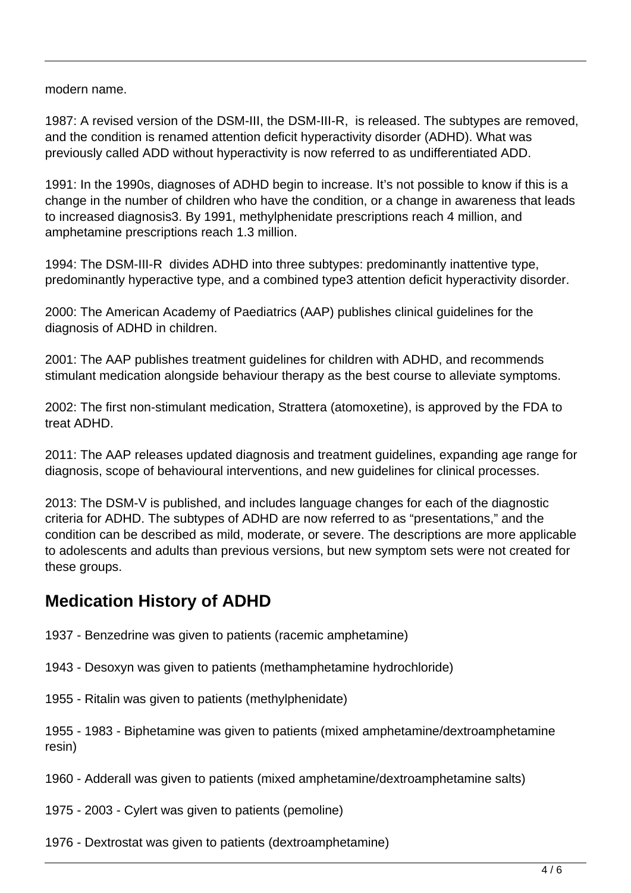modern name.

1987: A revised version of the DSM-III, the DSM-III-R, is released. The subtypes are removed, and the condition is renamed attention deficit hyperactivity disorder (ADHD). What was previously called ADD without hyperactivity is now referred to as undifferentiated ADD.

1991: In the 1990s, diagnoses of ADHD begin to increase. It's not possible to know if this is a change in the number of children who have the condition, or a change in awareness that leads to increased diagnosis3. By 1991, methylphenidate prescriptions reach 4 million, and amphetamine prescriptions reach 1.3 million.

1994: The DSM-III-R divides ADHD into three subtypes: predominantly inattentive type, predominantly hyperactive type, and a combined type3 attention deficit hyperactivity disorder.

2000: The American Academy of Paediatrics (AAP) publishes clinical guidelines for the diagnosis of ADHD in children.

2001: The AAP publishes treatment guidelines for children with ADHD, and recommends stimulant medication alongside behaviour therapy as the best course to alleviate symptoms.

2002: The first non-stimulant medication, Strattera (atomoxetine), is approved by the FDA to treat ADHD.

2011: The AAP releases updated diagnosis and treatment guidelines, expanding age range for diagnosis, scope of behavioural interventions, and new guidelines for clinical processes.

2013: The DSM-V is published, and includes language changes for each of the diagnostic criteria for ADHD. The subtypes of ADHD are now referred to as "presentations," and the condition can be described as mild, moderate, or severe. The descriptions are more applicable to adolescents and adults than previous versions, but new symptom sets were not created for these groups.

## **Medication History of ADHD**

1937 - Benzedrine was given to patients (racemic amphetamine)

1943 - Desoxyn was given to patients (methamphetamine hydrochloride)

1955 - Ritalin was given to patients (methylphenidate)

1955 - 1983 - Biphetamine was given to patients (mixed amphetamine/dextroamphetamine resin)

1960 - Adderall was given to patients (mixed amphetamine/dextroamphetamine salts)

1975 - 2003 - Cylert was given to patients (pemoline)

1976 - Dextrostat was given to patients (dextroamphetamine)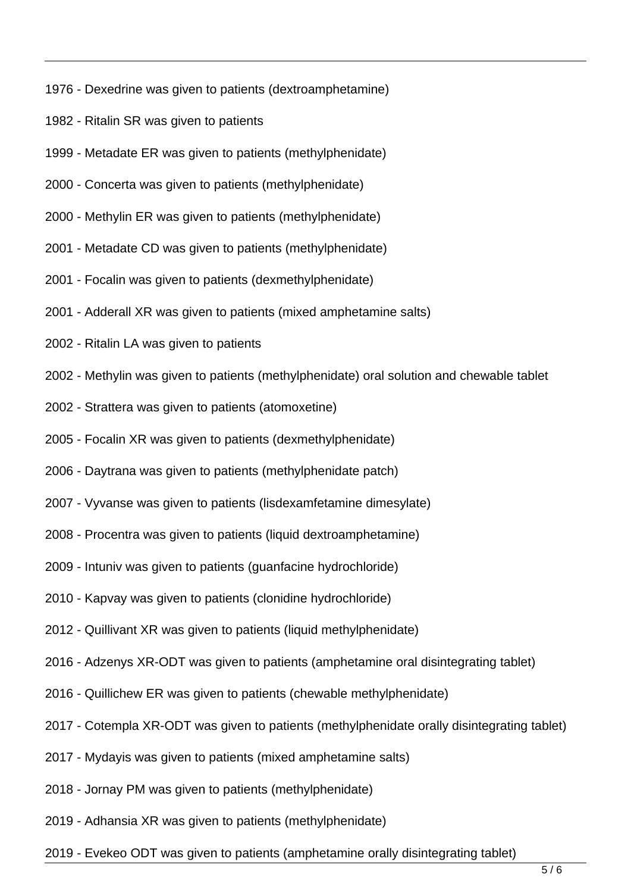- 1976 Dexedrine was given to patients (dextroamphetamine)
- 1982 Ritalin SR was given to patients
- 1999 Metadate ER was given to patients (methylphenidate)
- 2000 Concerta was given to patients (methylphenidate)
- 2000 Methylin ER was given to patients (methylphenidate)
- 2001 Metadate CD was given to patients (methylphenidate)
- 2001 Focalin was given to patients (dexmethylphenidate)
- 2001 Adderall XR was given to patients (mixed amphetamine salts)
- 2002 Ritalin LA was given to patients
- 2002 Methylin was given to patients (methylphenidate) oral solution and chewable tablet
- 2002 Strattera was given to patients (atomoxetine)
- 2005 Focalin XR was given to patients (dexmethylphenidate)
- 2006 Daytrana was given to patients (methylphenidate patch)
- 2007 Vyvanse was given to patients (lisdexamfetamine dimesylate)
- 2008 Procentra was given to patients (liquid dextroamphetamine)
- 2009 Intuniv was given to patients (guanfacine hydrochloride)
- 2010 Kapvay was given to patients (clonidine hydrochloride)
- 2012 Quillivant XR was given to patients (liquid methylphenidate)
- 2016 Adzenys XR-ODT was given to patients (amphetamine oral disintegrating tablet)
- 2016 Quillichew ER was given to patients (chewable methylphenidate)
- 2017 Cotempla XR-ODT was given to patients (methylphenidate orally disintegrating tablet)
- 2017 Mydayis was given to patients (mixed amphetamine salts)
- 2018 Jornay PM was given to patients (methylphenidate)
- 2019 Adhansia XR was given to patients (methylphenidate)
- 2019 Evekeo ODT was given to patients (amphetamine orally disintegrating tablet)